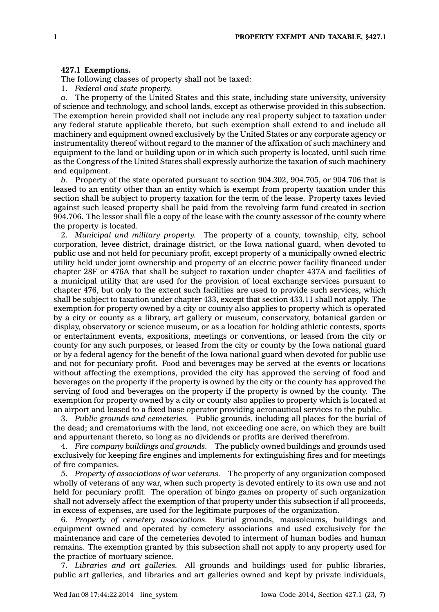## **427.1 Exemptions.**

The following classes of property shall not be taxed:

1. *Federal and state property.*

The property of the United States and this state, including state university, university of science and technology, and school lands, except as otherwise provided in this subsection. The exemption herein provided shall not include any real property subject to taxation under any federal statute applicable thereto, but such exemption shall extend to and include all machinery and equipment owned exclusively by the United States or any corporate agency or instrumentality thereof without regard to the manner of the affixation of such machinery and equipment to the land or building upon or in which such property is located, until such time as the Congress of the United States shall expressly authorize the taxation of such machinery and equipment.

*b.* Property of the state operated pursuant to section 904.302, 904.705, or 904.706 that is leased to an entity other than an entity which is exempt from property taxation under this section shall be subject to property taxation for the term of the lease. Property taxes levied against such leased property shall be paid from the revolving farm fund created in section 904.706. The lessor shall file <sup>a</sup> copy of the lease with the county assessor of the county where the property is located.

2. *Municipal and military property.* The property of <sup>a</sup> county, township, city, school corporation, levee district, drainage district, or the Iowa national guard, when devoted to public use and not held for pecuniary profit, except property of <sup>a</sup> municipally owned electric utility held under joint ownership and property of an electric power facility financed under chapter 28F or 476A that shall be subject to taxation under chapter 437A and facilities of <sup>a</sup> municipal utility that are used for the provision of local exchange services pursuant to chapter 476, but only to the extent such facilities are used to provide such services, which shall be subject to taxation under chapter 433, except that section 433.11 shall not apply. The exemption for property owned by <sup>a</sup> city or county also applies to property which is operated by <sup>a</sup> city or county as <sup>a</sup> library, art gallery or museum, conservatory, botanical garden or display, observatory or science museum, or as <sup>a</sup> location for holding athletic contests, sports or entertainment events, expositions, meetings or conventions, or leased from the city or county for any such purposes, or leased from the city or county by the Iowa national guard or by <sup>a</sup> federal agency for the benefit of the Iowa national guard when devoted for public use and not for pecuniary profit. Food and beverages may be served at the events or locations without affecting the exemptions, provided the city has approved the serving of food and beverages on the property if the property is owned by the city or the county has approved the serving of food and beverages on the property if the property is owned by the county. The exemption for property owned by <sup>a</sup> city or county also applies to property which is located at an airport and leased to <sup>a</sup> fixed base operator providing aeronautical services to the public.

3. *Public grounds and cemeteries.* Public grounds, including all places for the burial of the dead; and crematoriums with the land, not exceeding one acre, on which they are built and appurtenant thereto, so long as no dividends or profits are derived therefrom.

4. *Fire company buildings and grounds.* The publicly owned buildings and grounds used exclusively for keeping fire engines and implements for extinguishing fires and for meetings of fire companies.

5. *Property of associations of war veterans.* The property of any organization composed wholly of veterans of any war, when such property is devoted entirely to its own use and not held for pecuniary profit. The operation of bingo games on property of such organization shall not adversely affect the exemption of that property under this subsection if all proceeds, in excess of expenses, are used for the legitimate purposes of the organization.

6. *Property of cemetery associations.* Burial grounds, mausoleums, buildings and equipment owned and operated by cemetery associations and used exclusively for the maintenance and care of the cemeteries devoted to interment of human bodies and human remains. The exemption granted by this subsection shall not apply to any property used for the practice of mortuary science.

7. *Libraries and art galleries.* All grounds and buildings used for public libraries, public art galleries, and libraries and art galleries owned and kept by private individuals,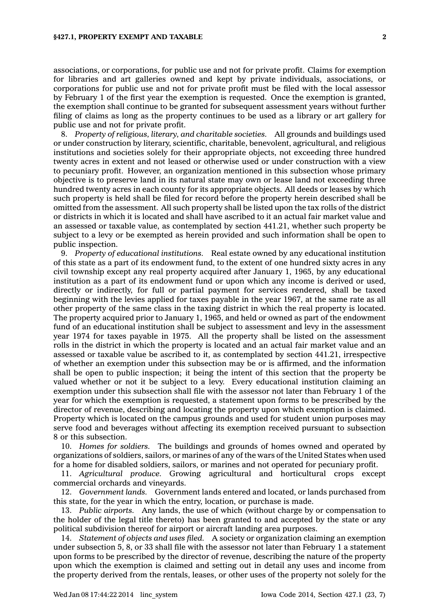associations, or corporations, for public use and not for private profit. Claims for exemption for libraries and art galleries owned and kept by private individuals, associations, or corporations for public use and not for private profit must be filed with the local assessor by February 1 of the first year the exemption is requested. Once the exemption is granted, the exemption shall continue to be granted for subsequent assessment years without further filing of claims as long as the property continues to be used as <sup>a</sup> library or art gallery for public use and not for private profit.

8. *Property of religious, literary, and charitable societies.* All grounds and buildings used or under construction by literary, scientific, charitable, benevolent, agricultural, and religious institutions and societies solely for their appropriate objects, not exceeding three hundred twenty acres in extent and not leased or otherwise used or under construction with <sup>a</sup> view to pecuniary profit. However, an organization mentioned in this subsection whose primary objective is to preserve land in its natural state may own or lease land not exceeding three hundred twenty acres in each county for its appropriate objects. All deeds or leases by which such property is held shall be filed for record before the property herein described shall be omitted from the assessment. All such property shall be listed upon the tax rolls of the district or districts in which it is located and shall have ascribed to it an actual fair market value and an assessed or taxable value, as contemplated by section 441.21, whether such property be subject to <sup>a</sup> levy or be exempted as herein provided and such information shall be open to public inspection.

9. *Property of educational institutions.* Real estate owned by any educational institution of this state as <sup>a</sup> part of its endowment fund, to the extent of one hundred sixty acres in any civil township except any real property acquired after January 1, 1965, by any educational institution as <sup>a</sup> part of its endowment fund or upon which any income is derived or used, directly or indirectly, for full or partial payment for services rendered, shall be taxed beginning with the levies applied for taxes payable in the year 1967, at the same rate as all other property of the same class in the taxing district in which the real property is located. The property acquired prior to January 1, 1965, and held or owned as part of the endowment fund of an educational institution shall be subject to assessment and levy in the assessment year 1974 for taxes payable in 1975. All the property shall be listed on the assessment rolls in the district in which the property is located and an actual fair market value and an assessed or taxable value be ascribed to it, as contemplated by section 441.21, irrespective of whether an exemption under this subsection may be or is affirmed, and the information shall be open to public inspection; it being the intent of this section that the property be valued whether or not it be subject to <sup>a</sup> levy. Every educational institution claiming an exemption under this subsection shall file with the assessor not later than February 1 of the year for which the exemption is requested, <sup>a</sup> statement upon forms to be prescribed by the director of revenue, describing and locating the property upon which exemption is claimed. Property which is located on the campus grounds and used for student union purposes may serve food and beverages without affecting its exemption received pursuant to subsection 8 or this subsection.

10. *Homes for soldiers.* The buildings and grounds of homes owned and operated by organizations of soldiers, sailors, or marines of any of the wars of the United States when used for <sup>a</sup> home for disabled soldiers, sailors, or marines and not operated for pecuniary profit.

11. *Agricultural produce.* Growing agricultural and horticultural crops except commercial orchards and vineyards.

12. *Government lands.* Government lands entered and located, or lands purchased from this state, for the year in which the entry, location, or purchase is made.

13. *Public airports.* Any lands, the use of which (without charge by or compensation to the holder of the legal title thereto) has been granted to and accepted by the state or any political subdivision thereof for airport or aircraft landing area purposes.

14. *Statement of objects and uses filed.* A society or organization claiming an exemption under subsection 5, 8, or 33 shall file with the assessor not later than February 1 <sup>a</sup> statement upon forms to be prescribed by the director of revenue, describing the nature of the property upon which the exemption is claimed and setting out in detail any uses and income from the property derived from the rentals, leases, or other uses of the property not solely for the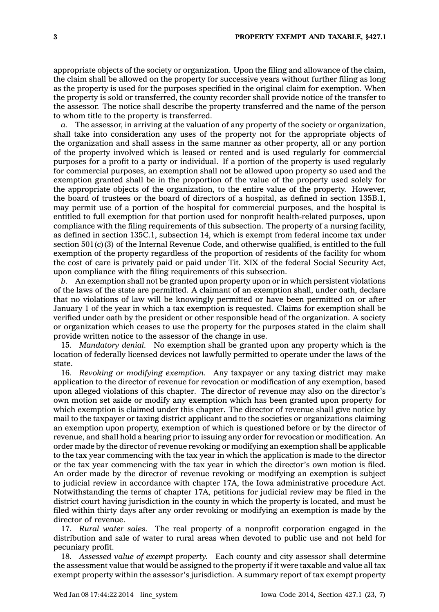appropriate objects of the society or organization. Upon the filing and allowance of the claim, the claim shall be allowed on the property for successive years without further filing as long as the property is used for the purposes specified in the original claim for exemption. When the property is sold or transferred, the county recorder shall provide notice of the transfer to the assessor. The notice shall describe the property transferred and the name of the person to whom title to the property is transferred.

*a.* The assessor, in arriving at the valuation of any property of the society or organization, shall take into consideration any uses of the property not for the appropriate objects of the organization and shall assess in the same manner as other property, all or any portion of the property involved which is leased or rented and is used regularly for commercial purposes for <sup>a</sup> profit to <sup>a</sup> party or individual. If <sup>a</sup> portion of the property is used regularly for commercial purposes, an exemption shall not be allowed upon property so used and the exemption granted shall be in the proportion of the value of the property used solely for the appropriate objects of the organization, to the entire value of the property. However, the board of trustees or the board of directors of <sup>a</sup> hospital, as defined in section 135B.1, may permit use of <sup>a</sup> portion of the hospital for commercial purposes, and the hospital is entitled to full exemption for that portion used for nonprofit health-related purposes, upon compliance with the filing requirements of this subsection. The property of <sup>a</sup> nursing facility, as defined in section 135C.1, subsection 14, which is exempt from federal income tax under section 501(c)(3) of the Internal Revenue Code, and otherwise qualified, is entitled to the full exemption of the property regardless of the proportion of residents of the facility for whom the cost of care is privately paid or paid under Tit. XIX of the federal Social Security Act, upon compliance with the filing requirements of this subsection.

*b.* An exemption shall not be granted upon property upon or in which persistent violations of the laws of the state are permitted. A claimant of an exemption shall, under oath, declare that no violations of law will be knowingly permitted or have been permitted on or after January 1 of the year in which <sup>a</sup> tax exemption is requested. Claims for exemption shall be verified under oath by the president or other responsible head of the organization. A society or organization which ceases to use the property for the purposes stated in the claim shall provide written notice to the assessor of the change in use.

15. *Mandatory denial.* No exemption shall be granted upon any property which is the location of federally licensed devices not lawfully permitted to operate under the laws of the state.

16. *Revoking or modifying exemption.* Any taxpayer or any taxing district may make application to the director of revenue for revocation or modification of any exemption, based upon alleged violations of this chapter. The director of revenue may also on the director's own motion set aside or modify any exemption which has been granted upon property for which exemption is claimed under this chapter. The director of revenue shall give notice by mail to the taxpayer or taxing district applicant and to the societies or organizations claiming an exemption upon property, exemption of which is questioned before or by the director of revenue, and shall hold <sup>a</sup> hearing prior to issuing any order for revocation or modification. An order made by the director of revenue revoking or modifying an exemption shall be applicable to the tax year commencing with the tax year in which the application is made to the director or the tax year commencing with the tax year in which the director's own motion is filed. An order made by the director of revenue revoking or modifying an exemption is subject to judicial review in accordance with chapter 17A, the Iowa administrative procedure Act. Notwithstanding the terms of chapter 17A, petitions for judicial review may be filed in the district court having jurisdiction in the county in which the property is located, and must be filed within thirty days after any order revoking or modifying an exemption is made by the director of revenue.

17. *Rural water sales.* The real property of <sup>a</sup> nonprofit corporation engaged in the distribution and sale of water to rural areas when devoted to public use and not held for pecuniary profit.

18. *Assessed value of exempt property.* Each county and city assessor shall determine the assessment value that would be assigned to the property if it were taxable and value all tax exempt property within the assessor's jurisdiction. A summary report of tax exempt property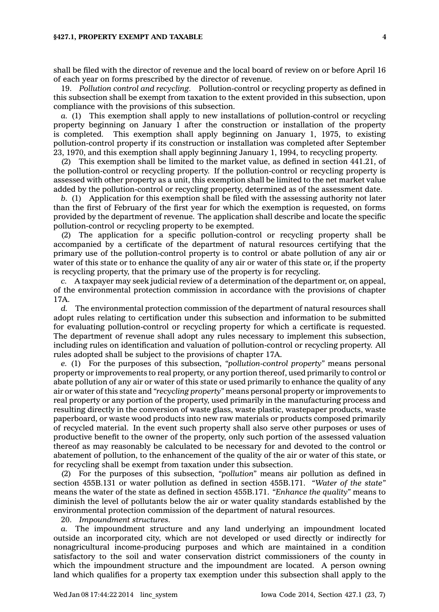shall be filed with the director of revenue and the local board of review on or before April 16 of each year on forms prescribed by the director of revenue.

19. *Pollution control and recycling.* Pollution-control or recycling property as defined in this subsection shall be exempt from taxation to the extent provided in this subsection, upon compliance with the provisions of this subsection.

*a.* (1) This exemption shall apply to new installations of pollution-control or recycling property beginning on January 1 after the construction or installation of the property is completed. This exemption shall apply beginning on January 1, 1975, to existing pollution-control property if its construction or installation was completed after September 23, 1970, and this exemption shall apply beginning January 1, 1994, to recycling property.

(2) This exemption shall be limited to the market value, as defined in section 441.21, of the pollution-control or recycling property. If the pollution-control or recycling property is assessed with other property as <sup>a</sup> unit, this exemption shall be limited to the net market value added by the pollution-control or recycling property, determined as of the assessment date.

*b.* (1) Application for this exemption shall be filed with the assessing authority not later than the first of February of the first year for which the exemption is requested, on forms provided by the department of revenue. The application shall describe and locate the specific pollution-control or recycling property to be exempted.

(2) The application for <sup>a</sup> specific pollution-control or recycling property shall be accompanied by <sup>a</sup> certificate of the department of natural resources certifying that the primary use of the pollution-control property is to control or abate pollution of any air or water of this state or to enhance the quality of any air or water of this state or, if the property is recycling property, that the primary use of the property is for recycling.

*c.* A taxpayer may seek judicial review of <sup>a</sup> determination of the department or, on appeal, of the environmental protection commission in accordance with the provisions of chapter 17A.

*d.* The environmental protection commission of the department of natural resources shall adopt rules relating to certification under this subsection and information to be submitted for evaluating pollution-control or recycling property for which <sup>a</sup> certificate is requested. The department of revenue shall adopt any rules necessary to implement this subsection, including rules on identification and valuation of pollution-control or recycling property. All rules adopted shall be subject to the provisions of chapter 17A.

*e.* (1) For the purposes of this subsection, *"pollution-control property"* means personal property or improvements to real property, or any portion thereof, used primarily to control or abate pollution of any air or water of this state or used primarily to enhance the quality of any air or water of this state and *"recycling property"* means personal property or improvements to real property or any portion of the property, used primarily in the manufacturing process and resulting directly in the conversion of waste glass, waste plastic, wastepaper products, waste paperboard, or waste wood products into new raw materials or products composed primarily of recycled material. In the event such property shall also serve other purposes or uses of productive benefit to the owner of the property, only such portion of the assessed valuation thereof as may reasonably be calculated to be necessary for and devoted to the control or abatement of pollution, to the enhancement of the quality of the air or water of this state, or for recycling shall be exempt from taxation under this subsection.

(2) For the purposes of this subsection, *"pollution"* means air pollution as defined in section 455B.131 or water pollution as defined in section 455B.171. *"Water of the state"* means the water of the state as defined in section 455B.171. *"Enhance the quality"* means to diminish the level of pollutants below the air or water quality standards established by the environmental protection commission of the department of natural resources.

20. *Impoundment structures.*

*a.* The impoundment structure and any land underlying an impoundment located outside an incorporated city, which are not developed or used directly or indirectly for nonagricultural income-producing purposes and which are maintained in <sup>a</sup> condition satisfactory to the soil and water conservation district commissioners of the county in which the impoundment structure and the impoundment are located. A person owning land which qualifies for <sup>a</sup> property tax exemption under this subsection shall apply to the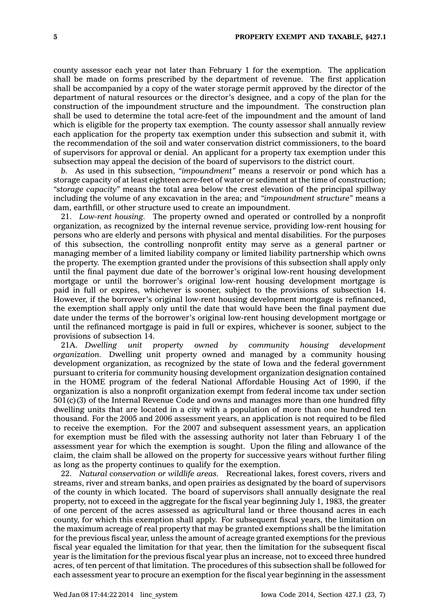county assessor each year not later than February 1 for the exemption. The application shall be made on forms prescribed by the department of revenue. The first application shall be accompanied by <sup>a</sup> copy of the water storage permit approved by the director of the department of natural resources or the director's designee, and <sup>a</sup> copy of the plan for the construction of the impoundment structure and the impoundment. The construction plan shall be used to determine the total acre-feet of the impoundment and the amount of land which is eligible for the property tax exemption. The county assessor shall annually review each application for the property tax exemption under this subsection and submit it, with the recommendation of the soil and water conservation district commissioners, to the board of supervisors for approval or denial. An applicant for <sup>a</sup> property tax exemption under this subsection may appeal the decision of the board of supervisors to the district court.

*b.* As used in this subsection, *"impoundment"* means <sup>a</sup> reservoir or pond which has <sup>a</sup> storage capacity of at least eighteen acre-feet of water or sediment at the time of construction; *"storage capacity"* means the total area below the crest elevation of the principal spillway including the volume of any excavation in the area; and *"impoundment structure"* means <sup>a</sup> dam, earthfill, or other structure used to create an impoundment.

21. *Low-rent housing.* The property owned and operated or controlled by <sup>a</sup> nonprofit organization, as recognized by the internal revenue service, providing low-rent housing for persons who are elderly and persons with physical and mental disabilities. For the purposes of this subsection, the controlling nonprofit entity may serve as <sup>a</sup> general partner or managing member of <sup>a</sup> limited liability company or limited liability partnership which owns the property. The exemption granted under the provisions of this subsection shall apply only until the final payment due date of the borrower's original low-rent housing development mortgage or until the borrower's original low-rent housing development mortgage is paid in full or expires, whichever is sooner, subject to the provisions of subsection 14. However, if the borrower's original low-rent housing development mortgage is refinanced, the exemption shall apply only until the date that would have been the final payment due date under the terms of the borrower's original low-rent housing development mortgage or until the refinanced mortgage is paid in full or expires, whichever is sooner, subject to the provisions of subsection 14.

21A. *Dwelling unit property owned by community housing development organization.* Dwelling unit property owned and managed by <sup>a</sup> community housing development organization, as recognized by the state of Iowa and the federal government pursuant to criteria for community housing development organization designation contained in the HOME program of the federal National Affordable Housing Act of 1990, if the organization is also <sup>a</sup> nonprofit organization exempt from federal income tax under section 501(c)(3) of the Internal Revenue Code and owns and manages more than one hundred fifty dwelling units that are located in <sup>a</sup> city with <sup>a</sup> population of more than one hundred ten thousand. For the 2005 and 2006 assessment years, an application is not required to be filed to receive the exemption. For the 2007 and subsequent assessment years, an application for exemption must be filed with the assessing authority not later than February 1 of the assessment year for which the exemption is sought. Upon the filing and allowance of the claim, the claim shall be allowed on the property for successive years without further filing as long as the property continues to qualify for the exemption.

22. *Natural conservation or wildlife areas.* Recreational lakes, forest covers, rivers and streams, river and stream banks, and open prairies as designated by the board of supervisors of the county in which located. The board of supervisors shall annually designate the real property, not to exceed in the aggregate for the fiscal year beginning July 1, 1983, the greater of one percent of the acres assessed as agricultural land or three thousand acres in each county, for which this exemption shall apply. For subsequent fiscal years, the limitation on the maximum acreage of real property that may be granted exemptions shall be the limitation for the previous fiscal year, unless the amount of acreage granted exemptions for the previous fiscal year equaled the limitation for that year, then the limitation for the subsequent fiscal year is the limitation for the previous fiscal year plus an increase, not to exceed three hundred acres, of ten percent of that limitation. The procedures of this subsection shall be followed for each assessment year to procure an exemption for the fiscal year beginning in the assessment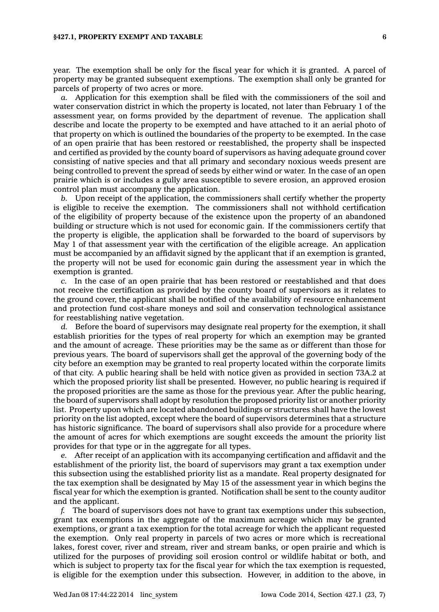year. The exemption shall be only for the fiscal year for which it is granted. A parcel of property may be granted subsequent exemptions. The exemption shall only be granted for parcels of property of two acres or more.

*a.* Application for this exemption shall be filed with the commissioners of the soil and water conservation district in which the property is located, not later than February 1 of the assessment year, on forms provided by the department of revenue. The application shall describe and locate the property to be exempted and have attached to it an aerial photo of that property on which is outlined the boundaries of the property to be exempted. In the case of an open prairie that has been restored or reestablished, the property shall be inspected and certified as provided by the county board of supervisors as having adequate ground cover consisting of native species and that all primary and secondary noxious weeds present are being controlled to prevent the spread of seeds by either wind or water. In the case of an open prairie which is or includes <sup>a</sup> gully area susceptible to severe erosion, an approved erosion control plan must accompany the application.

*b.* Upon receipt of the application, the commissioners shall certify whether the property is eligible to receive the exemption. The commissioners shall not withhold certification of the eligibility of property because of the existence upon the property of an abandoned building or structure which is not used for economic gain. If the commissioners certify that the property is eligible, the application shall be forwarded to the board of supervisors by May 1 of that assessment year with the certification of the eligible acreage. An application must be accompanied by an affidavit signed by the applicant that if an exemption is granted, the property will not be used for economic gain during the assessment year in which the exemption is granted.

*c.* In the case of an open prairie that has been restored or reestablished and that does not receive the certification as provided by the county board of supervisors as it relates to the ground cover, the applicant shall be notified of the availability of resource enhancement and protection fund cost-share moneys and soil and conservation technological assistance for reestablishing native vegetation.

*d.* Before the board of supervisors may designate real property for the exemption, it shall establish priorities for the types of real property for which an exemption may be granted and the amount of acreage. These priorities may be the same as or different than those for previous years. The board of supervisors shall get the approval of the governing body of the city before an exemption may be granted to real property located within the corporate limits of that city. A public hearing shall be held with notice given as provided in section 73A.2 at which the proposed priority list shall be presented. However, no public hearing is required if the proposed priorities are the same as those for the previous year. After the public hearing, the board of supervisors shall adopt by resolution the proposed priority list or another priority list. Property upon which are located abandoned buildings or structures shall have the lowest priority on the list adopted, except where the board of supervisors determines that <sup>a</sup> structure has historic significance. The board of supervisors shall also provide for <sup>a</sup> procedure where the amount of acres for which exemptions are sought exceeds the amount the priority list provides for that type or in the aggregate for all types.

*e.* After receipt of an application with its accompanying certification and affidavit and the establishment of the priority list, the board of supervisors may grant <sup>a</sup> tax exemption under this subsection using the established priority list as <sup>a</sup> mandate. Real property designated for the tax exemption shall be designated by May 15 of the assessment year in which begins the fiscal year for which the exemption is granted. Notification shall be sent to the county auditor and the applicant.

*f.* The board of supervisors does not have to grant tax exemptions under this subsection, grant tax exemptions in the aggregate of the maximum acreage which may be granted exemptions, or grant <sup>a</sup> tax exemption for the total acreage for which the applicant requested the exemption. Only real property in parcels of two acres or more which is recreational lakes, forest cover, river and stream, river and stream banks, or open prairie and which is utilized for the purposes of providing soil erosion control or wildlife habitat or both, and which is subject to property tax for the fiscal year for which the tax exemption is requested, is eligible for the exemption under this subsection. However, in addition to the above, in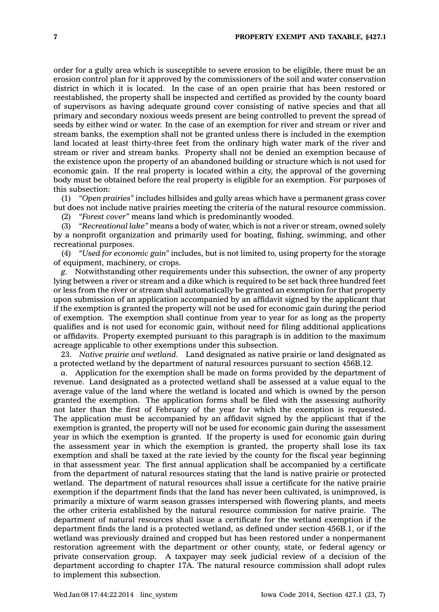order for <sup>a</sup> gully area which is susceptible to severe erosion to be eligible, there must be an erosion control plan for it approved by the commissioners of the soil and water conservation district in which it is located. In the case of an open prairie that has been restored or reestablished, the property shall be inspected and certified as provided by the county board of supervisors as having adequate ground cover consisting of native species and that all primary and secondary noxious weeds present are being controlled to prevent the spread of seeds by either wind or water. In the case of an exemption for river and stream or river and stream banks, the exemption shall not be granted unless there is included in the exemption land located at least thirty-three feet from the ordinary high water mark of the river and stream or river and stream banks. Property shall not be denied an exemption because of the existence upon the property of an abandoned building or structure which is not used for economic gain. If the real property is located within <sup>a</sup> city, the approval of the governing body must be obtained before the real property is eligible for an exemption. For purposes of this subsection:

(1) *"Open prairies"* includes hillsides and gully areas which have <sup>a</sup> permanent grass cover but does not include native prairies meeting the criteria of the natural resource commission.

(2) *"Forest cover"* means land which is predominantly wooded.

(3) *"Recreational lake"* means <sup>a</sup> body of water, which is not <sup>a</sup> river or stream, owned solely by <sup>a</sup> nonprofit organization and primarily used for boating, fishing, swimming, and other recreational purposes.

(4) *"Used for economic gain"* includes, but is not limited to, using property for the storage of equipment, machinery, or crops.

*g.* Notwithstanding other requirements under this subsection, the owner of any property lying between <sup>a</sup> river or stream and <sup>a</sup> dike which is required to be set back three hundred feet or less from the river or stream shall automatically be granted an exemption for that property upon submission of an application accompanied by an affidavit signed by the applicant that if the exemption is granted the property will not be used for economic gain during the period of exemption. The exemption shall continue from year to year for as long as the property qualifies and is not used for economic gain, without need for filing additional applications or affidavits. Property exempted pursuant to this paragraph is in addition to the maximum acreage applicable to other exemptions under this subsection.

23. *Native prairie and wetland.* Land designated as native prairie or land designated as <sup>a</sup> protected wetland by the department of natural resources pursuant to section 456B.12.

*a.* Application for the exemption shall be made on forms provided by the department of revenue. Land designated as <sup>a</sup> protected wetland shall be assessed at <sup>a</sup> value equal to the average value of the land where the wetland is located and which is owned by the person granted the exemption. The application forms shall be filed with the assessing authority not later than the first of February of the year for which the exemption is requested. The application must be accompanied by an affidavit signed by the applicant that if the exemption is granted, the property will not be used for economic gain during the assessment year in which the exemption is granted. If the property is used for economic gain during the assessment year in which the exemption is granted, the property shall lose its tax exemption and shall be taxed at the rate levied by the county for the fiscal year beginning in that assessment year. The first annual application shall be accompanied by <sup>a</sup> certificate from the department of natural resources stating that the land is native prairie or protected wetland. The department of natural resources shall issue <sup>a</sup> certificate for the native prairie exemption if the department finds that the land has never been cultivated, is unimproved, is primarily <sup>a</sup> mixture of warm season grasses interspersed with flowering plants, and meets the other criteria established by the natural resource commission for native prairie. The department of natural resources shall issue <sup>a</sup> certificate for the wetland exemption if the department finds the land is <sup>a</sup> protected wetland, as defined under section 456B.1, or if the wetland was previously drained and cropped but has been restored under <sup>a</sup> nonpermanent restoration agreement with the department or other county, state, or federal agency or private conservation group. A taxpayer may seek judicial review of <sup>a</sup> decision of the department according to chapter 17A. The natural resource commission shall adopt rules to implement this subsection.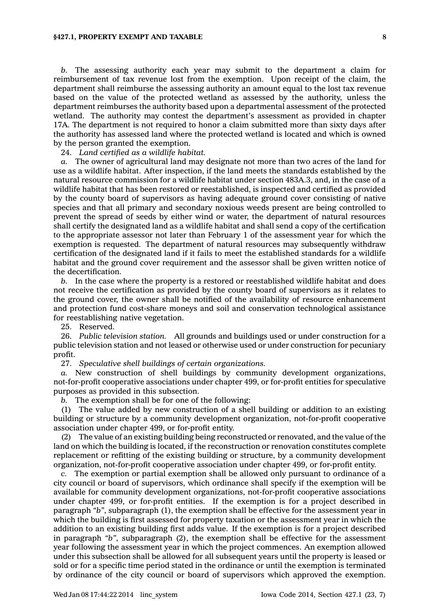*b.* The assessing authority each year may submit to the department <sup>a</sup> claim for reimbursement of tax revenue lost from the exemption. Upon receipt of the claim, the department shall reimburse the assessing authority an amount equal to the lost tax revenue based on the value of the protected wetland as assessed by the authority, unless the department reimburses the authority based upon <sup>a</sup> departmental assessment of the protected wetland. The authority may contest the department's assessment as provided in chapter 17A. The department is not required to honor <sup>a</sup> claim submitted more than sixty days after the authority has assessed land where the protected wetland is located and which is owned by the person granted the exemption.

24. *Land certified as <sup>a</sup> wildlife habitat.*

*a.* The owner of agricultural land may designate not more than two acres of the land for use as <sup>a</sup> wildlife habitat. After inspection, if the land meets the standards established by the natural resource commission for <sup>a</sup> wildlife habitat under section 483A.3, and, in the case of <sup>a</sup> wildlife habitat that has been restored or reestablished, is inspected and certified as provided by the county board of supervisors as having adequate ground cover consisting of native species and that all primary and secondary noxious weeds present are being controlled to prevent the spread of seeds by either wind or water, the department of natural resources shall certify the designated land as <sup>a</sup> wildlife habitat and shall send <sup>a</sup> copy of the certification to the appropriate assessor not later than February 1 of the assessment year for which the exemption is requested. The department of natural resources may subsequently withdraw certification of the designated land if it fails to meet the established standards for <sup>a</sup> wildlife habitat and the ground cover requirement and the assessor shall be given written notice of the decertification.

*b.* In the case where the property is <sup>a</sup> restored or reestablished wildlife habitat and does not receive the certification as provided by the county board of supervisors as it relates to the ground cover, the owner shall be notified of the availability of resource enhancement and protection fund cost-share moneys and soil and conservation technological assistance for reestablishing native vegetation.

25. Reserved.

26. *Public television station.* All grounds and buildings used or under construction for <sup>a</sup> public television station and not leased or otherwise used or under construction for pecuniary profit.

27. *Speculative shell buildings of certain organizations.*

*a.* New construction of shell buildings by community development organizations, not-for-profit cooperative associations under chapter 499, or for-profit entities for speculative purposes as provided in this subsection.

*b.* The exemption shall be for one of the following:

(1) The value added by new construction of <sup>a</sup> shell building or addition to an existing building or structure by <sup>a</sup> community development organization, not-for-profit cooperative association under chapter 499, or for-profit entity.

(2) The value of an existing building being reconstructed or renovated, and the value of the land on which the building is located, if the reconstruction or renovation constitutes complete replacement or refitting of the existing building or structure, by <sup>a</sup> community development organization, not-for-profit cooperative association under chapter 499, or for-profit entity.

*c.* The exemption or partial exemption shall be allowed only pursuant to ordinance of <sup>a</sup> city council or board of supervisors, which ordinance shall specify if the exemption will be available for community development organizations, not-for-profit cooperative associations under chapter 499, or for-profit entities. If the exemption is for <sup>a</sup> project described in paragraph *"b"*, subparagraph (1), the exemption shall be effective for the assessment year in which the building is first assessed for property taxation or the assessment year in which the addition to an existing building first adds value. If the exemption is for <sup>a</sup> project described in paragraph *"b"*, subparagraph (2), the exemption shall be effective for the assessment year following the assessment year in which the project commences. An exemption allowed under this subsection shall be allowed for all subsequent years until the property is leased or sold or for <sup>a</sup> specific time period stated in the ordinance or until the exemption is terminated by ordinance of the city council or board of supervisors which approved the exemption.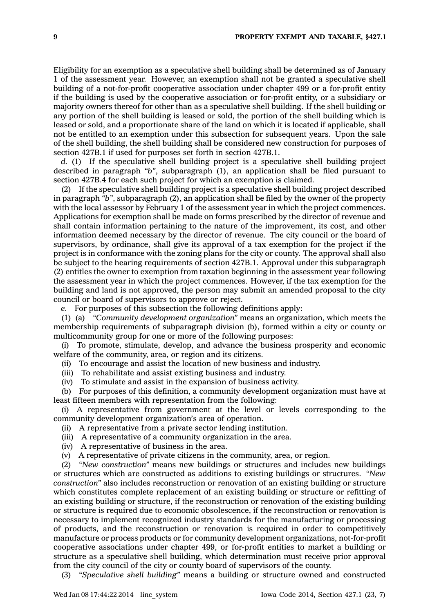Eligibility for an exemption as <sup>a</sup> speculative shell building shall be determined as of January 1 of the assessment year. However, an exemption shall not be granted <sup>a</sup> speculative shell building of <sup>a</sup> not-for-profit cooperative association under chapter 499 or <sup>a</sup> for-profit entity if the building is used by the cooperative association or for-profit entity, or <sup>a</sup> subsidiary or majority owners thereof for other than as <sup>a</sup> speculative shell building. If the shell building or any portion of the shell building is leased or sold, the portion of the shell building which is leased or sold, and <sup>a</sup> proportionate share of the land on which it is located if applicable, shall not be entitled to an exemption under this subsection for subsequent years. Upon the sale of the shell building, the shell building shall be considered new construction for purposes of section 427B.1 if used for purposes set forth in section 427B.1.

*d.* (1) If the speculative shell building project is <sup>a</sup> speculative shell building project described in paragraph *"b"*, subparagraph (1), an application shall be filed pursuant to section 427B.4 for each such project for which an exemption is claimed.

(2) If the speculative shell building project is <sup>a</sup> speculative shell building project described in paragraph *"b"*, subparagraph (2), an application shall be filed by the owner of the property with the local assessor by February 1 of the assessment year in which the project commences. Applications for exemption shall be made on forms prescribed by the director of revenue and shall contain information pertaining to the nature of the improvement, its cost, and other information deemed necessary by the director of revenue. The city council or the board of supervisors, by ordinance, shall give its approval of <sup>a</sup> tax exemption for the project if the project is in conformance with the zoning plans for the city or county. The approval shall also be subject to the hearing requirements of section 427B.1. Approval under this subparagraph (2) entitles the owner to exemption from taxation beginning in the assessment year following the assessment year in which the project commences. However, if the tax exemption for the building and land is not approved, the person may submit an amended proposal to the city council or board of supervisors to approve or reject.

*e.* For purposes of this subsection the following definitions apply:

(1) (a) *"Community development organization"* means an organization, which meets the membership requirements of subparagraph division (b), formed within <sup>a</sup> city or county or multicommunity group for one or more of the following purposes:

(i) To promote, stimulate, develop, and advance the business prosperity and economic welfare of the community, area, or region and its citizens.

(ii) To encourage and assist the location of new business and industry.

(iii) To rehabilitate and assist existing business and industry.

(iv) To stimulate and assist in the expansion of business activity.

(b) For purposes of this definition, <sup>a</sup> community development organization must have at least fifteen members with representation from the following:

(i) A representative from government at the level or levels corresponding to the community development organization's area of operation.

(ii) A representative from <sup>a</sup> private sector lending institution.

(iii) A representative of <sup>a</sup> community organization in the area.

(iv) A representative of business in the area.

(v) A representative of private citizens in the community, area, or region.

(2) *"New construction"* means new buildings or structures and includes new buildings or structures which are constructed as additions to existing buildings or structures. *"New construction"* also includes reconstruction or renovation of an existing building or structure which constitutes complete replacement of an existing building or structure or refitting of an existing building or structure, if the reconstruction or renovation of the existing building or structure is required due to economic obsolescence, if the reconstruction or renovation is necessary to implement recognized industry standards for the manufacturing or processing of products, and the reconstruction or renovation is required in order to competitively manufacture or process products or for community development organizations, not-for-profit cooperative associations under chapter 499, or for-profit entities to market <sup>a</sup> building or structure as <sup>a</sup> speculative shell building, which determination must receive prior approval from the city council of the city or county board of supervisors of the county.

(3) *"Speculative shell building"* means <sup>a</sup> building or structure owned and constructed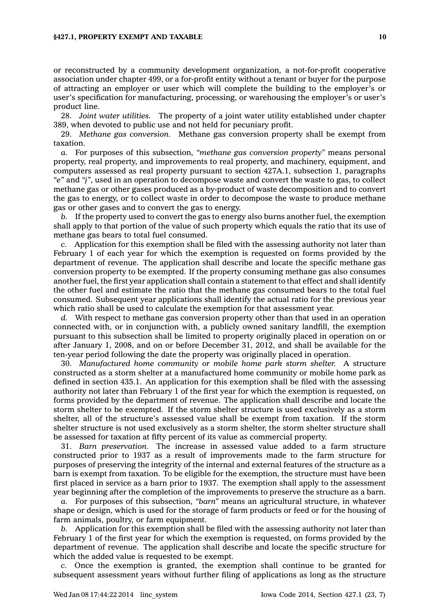or reconstructed by <sup>a</sup> community development organization, <sup>a</sup> not-for-profit cooperative association under chapter 499, or <sup>a</sup> for-profit entity without <sup>a</sup> tenant or buyer for the purpose of attracting an employer or user which will complete the building to the employer's or user's specification for manufacturing, processing, or warehousing the employer's or user's product line.

28. *Joint water utilities.* The property of <sup>a</sup> joint water utility established under chapter 389, when devoted to public use and not held for pecuniary profit.

29. *Methane gas conversion.* Methane gas conversion property shall be exempt from taxation.

*a.* For purposes of this subsection, *"methane gas conversion property"* means personal property, real property, and improvements to real property, and machinery, equipment, and computers assessed as real property pursuant to section 427A.1, subsection 1, paragraphs *"e"* and *"j"*, used in an operation to decompose waste and convert the waste to gas, to collect methane gas or other gases produced as <sup>a</sup> by-product of waste decomposition and to convert the gas to energy, or to collect waste in order to decompose the waste to produce methane gas or other gases and to convert the gas to energy.

*b.* If the property used to convert the gas to energy also burns another fuel, the exemption shall apply to that portion of the value of such property which equals the ratio that its use of methane gas bears to total fuel consumed.

*c.* Application for this exemption shall be filed with the assessing authority not later than February 1 of each year for which the exemption is requested on forms provided by the department of revenue. The application shall describe and locate the specific methane gas conversion property to be exempted. If the property consuming methane gas also consumes another fuel, the first year application shall contain <sup>a</sup> statement to that effect and shall identify the other fuel and estimate the ratio that the methane gas consumed bears to the total fuel consumed. Subsequent year applications shall identify the actual ratio for the previous year which ratio shall be used to calculate the exemption for that assessment year.

*d.* With respect to methane gas conversion property other than that used in an operation connected with, or in conjunction with, <sup>a</sup> publicly owned sanitary landfill, the exemption pursuant to this subsection shall be limited to property originally placed in operation on or after January 1, 2008, and on or before December 31, 2012, and shall be available for the ten-year period following the date the property was originally placed in operation.

30. *Manufactured home community or mobile home park storm shelter.* A structure constructed as <sup>a</sup> storm shelter at <sup>a</sup> manufactured home community or mobile home park as defined in section 435.1. An application for this exemption shall be filed with the assessing authority not later than February 1 of the first year for which the exemption is requested, on forms provided by the department of revenue. The application shall describe and locate the storm shelter to be exempted. If the storm shelter structure is used exclusively as <sup>a</sup> storm shelter, all of the structure's assessed value shall be exempt from taxation. If the storm shelter structure is not used exclusively as <sup>a</sup> storm shelter, the storm shelter structure shall be assessed for taxation at fifty percent of its value as commercial property.

31. *Barn preservation.* The increase in assessed value added to <sup>a</sup> farm structure constructed prior to 1937 as <sup>a</sup> result of improvements made to the farm structure for purposes of preserving the integrity of the internal and external features of the structure as <sup>a</sup> barn is exempt from taxation. To be eligible for the exemption, the structure must have been first placed in service as <sup>a</sup> barn prior to 1937. The exemption shall apply to the assessment year beginning after the completion of the improvements to preserve the structure as <sup>a</sup> barn.

*a.* For purposes of this subsection, *"barn"* means an agricultural structure, in whatever shape or design, which is used for the storage of farm products or feed or for the housing of farm animals, poultry, or farm equipment.

*b.* Application for this exemption shall be filed with the assessing authority not later than February 1 of the first year for which the exemption is requested, on forms provided by the department of revenue. The application shall describe and locate the specific structure for which the added value is requested to be exempt.

*c.* Once the exemption is granted, the exemption shall continue to be granted for subsequent assessment years without further filing of applications as long as the structure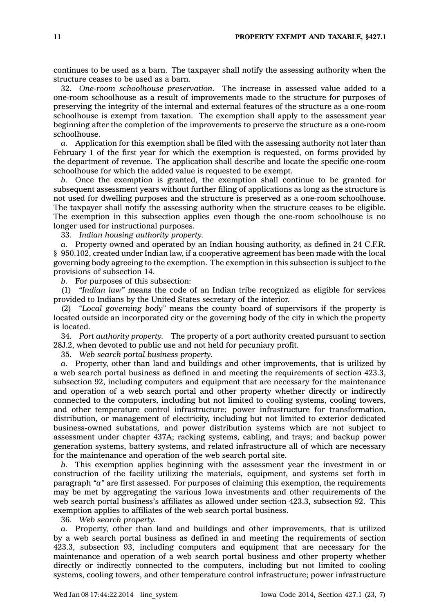continues to be used as <sup>a</sup> barn. The taxpayer shall notify the assessing authority when the structure ceases to be used as <sup>a</sup> barn.

32. *One-room schoolhouse preservation.* The increase in assessed value added to <sup>a</sup> one-room schoolhouse as <sup>a</sup> result of improvements made to the structure for purposes of preserving the integrity of the internal and external features of the structure as <sup>a</sup> one-room schoolhouse is exempt from taxation. The exemption shall apply to the assessment year beginning after the completion of the improvements to preserve the structure as <sup>a</sup> one-room schoolhouse.

*a.* Application for this exemption shall be filed with the assessing authority not later than February 1 of the first year for which the exemption is requested, on forms provided by the department of revenue. The application shall describe and locate the specific one-room schoolhouse for which the added value is requested to be exempt.

*b.* Once the exemption is granted, the exemption shall continue to be granted for subsequent assessment years without further filing of applications as long as the structure is not used for dwelling purposes and the structure is preserved as <sup>a</sup> one-room schoolhouse. The taxpayer shall notify the assessing authority when the structure ceases to be eligible. The exemption in this subsection applies even though the one-room schoolhouse is no longer used for instructional purposes.

33. *Indian housing authority property.*

*a.* Property owned and operated by an Indian housing authority, as defined in 24 C.F.R. § 950.102, created under Indian law, if <sup>a</sup> cooperative agreement has been made with the local governing body agreeing to the exemption. The exemption in this subsection is subject to the provisions of subsection 14.

*b.* For purposes of this subsection:

(1) *"Indian law"* means the code of an Indian tribe recognized as eligible for services provided to Indians by the United States secretary of the interior.

(2) *"Local governing body"* means the county board of supervisors if the property is located outside an incorporated city or the governing body of the city in which the property is located.

34. *Port authority property.* The property of <sup>a</sup> port authority created pursuant to section 28J.2, when devoted to public use and not held for pecuniary profit.

35. *Web search portal business property.*

*a.* Property, other than land and buildings and other improvements, that is utilized by <sup>a</sup> web search portal business as defined in and meeting the requirements of section 423.3, subsection 92, including computers and equipment that are necessary for the maintenance and operation of <sup>a</sup> web search portal and other property whether directly or indirectly connected to the computers, including but not limited to cooling systems, cooling towers, and other temperature control infrastructure; power infrastructure for transformation, distribution, or management of electricity, including but not limited to exterior dedicated business-owned substations, and power distribution systems which are not subject to assessment under chapter 437A; racking systems, cabling, and trays; and backup power generation systems, battery systems, and related infrastructure all of which are necessary for the maintenance and operation of the web search portal site.

*b.* This exemption applies beginning with the assessment year the investment in or construction of the facility utilizing the materials, equipment, and systems set forth in paragraph *"a"* are first assessed. For purposes of claiming this exemption, the requirements may be met by aggregating the various Iowa investments and other requirements of the web search portal business's affiliates as allowed under section 423.3, subsection 92. This exemption applies to affiliates of the web search portal business.

36. *Web search property.*

*a.* Property, other than land and buildings and other improvements, that is utilized by <sup>a</sup> web search portal business as defined in and meeting the requirements of section 423.3, subsection 93, including computers and equipment that are necessary for the maintenance and operation of <sup>a</sup> web search portal business and other property whether directly or indirectly connected to the computers, including but not limited to cooling systems, cooling towers, and other temperature control infrastructure; power infrastructure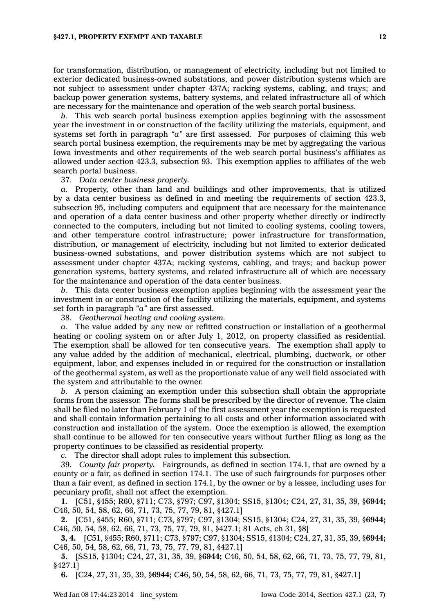for transformation, distribution, or management of electricity, including but not limited to exterior dedicated business-owned substations, and power distribution systems which are not subject to assessment under chapter 437A; racking systems, cabling, and trays; and backup power generation systems, battery systems, and related infrastructure all of which are necessary for the maintenance and operation of the web search portal business.

*b.* This web search portal business exemption applies beginning with the assessment year the investment in or construction of the facility utilizing the materials, equipment, and systems set forth in paragraph *"a"* are first assessed. For purposes of claiming this web search portal business exemption, the requirements may be met by aggregating the various Iowa investments and other requirements of the web search portal business's affiliates as allowed under section 423.3, subsection 93. This exemption applies to affiliates of the web search portal business.

37. *Data center business property.*

*a.* Property, other than land and buildings and other improvements, that is utilized by <sup>a</sup> data center business as defined in and meeting the requirements of section 423.3, subsection 95, including computers and equipment that are necessary for the maintenance and operation of <sup>a</sup> data center business and other property whether directly or indirectly connected to the computers, including but not limited to cooling systems, cooling towers, and other temperature control infrastructure; power infrastructure for transformation, distribution, or management of electricity, including but not limited to exterior dedicated business-owned substations, and power distribution systems which are not subject to assessment under chapter 437A; racking systems, cabling, and trays; and backup power generation systems, battery systems, and related infrastructure all of which are necessary for the maintenance and operation of the data center business.

*b.* This data center business exemption applies beginning with the assessment year the investment in or construction of the facility utilizing the materials, equipment, and systems set forth in paragraph *"a"* are first assessed.

38. *Geothermal heating and cooling system.*

*a.* The value added by any new or refitted construction or installation of <sup>a</sup> geothermal heating or cooling system on or after July 1, 2012, on property classified as residential. The exemption shall be allowed for ten consecutive years. The exemption shall apply to any value added by the addition of mechanical, electrical, plumbing, ductwork, or other equipment, labor, and expenses included in or required for the construction or installation of the geothermal system, as well as the proportionate value of any well field associated with the system and attributable to the owner.

*b.* A person claiming an exemption under this subsection shall obtain the appropriate forms from the assessor. The forms shall be prescribed by the director of revenue. The claim shall be filed no later than February 1 of the first assessment year the exemption is requested and shall contain information pertaining to all costs and other information associated with construction and installation of the system. Once the exemption is allowed, the exemption shall continue to be allowed for ten consecutive years without further filing as long as the property continues to be classified as residential property.

*c.* The director shall adopt rules to implement this subsection.

39. *County fair property.* Fairgrounds, as defined in section 174.1, that are owned by <sup>a</sup> county or <sup>a</sup> fair, as defined in section 174.1. The use of such fairgrounds for purposes other than <sup>a</sup> fair event, as defined in section 174.1, by the owner or by <sup>a</sup> lessee, including uses for pecuniary profit, shall not affect the exemption.

**1.** [C51, §455; R60, §711; C73, §797; C97, §1304; SS15, §1304; C24, 27, 31, 35, 39, §**6944;** C46, 50, 54, 58, 62, 66, 71, 73, 75, 77, 79, 81, §427.1]

**2.** [C51, §455; R60, §711; C73, §797; C97, §1304; SS15, §1304; C24, 27, 31, 35, 39, §**6944;** C46, 50, 54, 58, 62, 66, 71, 73, 75, 77, 79, 81, §427.1; 81 Acts, ch 31, §8]

**3, 4.** [C51, §455; R60, §711; C73, §797; C97, §1304; SS15, §1304; C24, 27, 31, 35, 39, §**6944;** C46, 50, 54, 58, 62, 66, 71, 73, 75, 77, 79, 81, §427.1]

**5.** [SS15, §1304; C24, 27, 31, 35, 39, §**6944;** C46, 50, 54, 58, 62, 66, 71, 73, 75, 77, 79, 81, §427.1]

**6.** [C24, 27, 31, 35, 39, §**6944;** C46, 50, 54, 58, 62, 66, 71, 73, 75, 77, 79, 81, §427.1]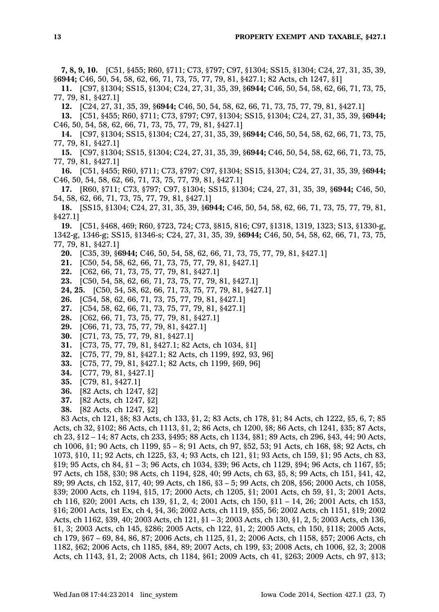**7, 8, 9, 10.** [C51, §455; R60, §711; C73, §797; C97, §1304; SS15, §1304; C24, 27, 31, 35, 39, §**6944;** C46, 50, 54, 58, 62, 66, 71, 73, 75, 77, 79, 81, §427.1; 82 Acts, ch 1247, §1]

**11.** [C97, §1304; SS15, §1304; C24, 27, 31, 35, 39, §**6944;** C46, 50, 54, 58, 62, 66, 71, 73, 75, 77, 79, 81, §427.1]

**12.** [C24, 27, 31, 35, 39, §**6944;** C46, 50, 54, 58, 62, 66, 71, 73, 75, 77, 79, 81, §427.1]

**13.** [C51, §455; R60, §711; C73, §797; C97, §1304; SS15, §1304; C24, 27, 31, 35, 39, §**6944;** C46, 50, 54, 58, 62, 66, 71, 73, 75, 77, 79, 81, §427.1]

**14.** [C97, §1304; SS15, §1304; C24, 27, 31, 35, 39, §**6944;** C46, 50, 54, 58, 62, 66, 71, 73, 75, 77, 79, 81, §427.1]

**15.** [C97, §1304; SS15, §1304; C24, 27, 31, 35, 39, §**6944;** C46, 50, 54, 58, 62, 66, 71, 73, 75, 77, 79, 81, §427.1]

**16.** [C51, §455; R60, §711; C73, §797; C97, §1304; SS15, §1304; C24, 27, 31, 35, 39, §**6944;** C46, 50, 54, 58, 62, 66, 71, 73, 75, 77, 79, 81, §427.1]

**17.** [R60, §711; C73, §797; C97, §1304; SS15, §1304; C24, 27, 31, 35, 39, §**6944;** C46, 50, 54, 58, 62, 66, 71, 73, 75, 77, 79, 81, §427.1]

**18.** [SS15, §1304; C24, 27, 31, 35, 39, §**6944;** C46, 50, 54, 58, 62, 66, 71, 73, 75, 77, 79, 81, §427.1]

**19.** [C51, §468, 469; R60, §723, 724; C73, §815, 816; C97, §1318, 1319, 1323; S13, §1330-g, 1342-g, 1346-g; SS15, §1346-s; C24, 27, 31, 35, 39, §**6944;** C46, 50, 54, 58, 62, 66, 71, 73, 75, 77, 79, 81, §427.1]

**20.** [C35, 39, §**6944;** C46, 50, 54, 58, 62, 66, 71, 73, 75, 77, 79, 81, §427.1]

- **21.** [C50, 54, 58, 62, 66, 71, 73, 75, 77, 79, 81, §427.1]
- **22.** [C62, 66, 71, 73, 75, 77, 79, 81, §427.1]

**23.** [C50, 54, 58, 62, 66, 71, 73, 75, 77, 79, 81, §427.1]

**24, 25.** [C50, 54, 58, 62, 66, 71, 73, 75, 77, 79, 81, §427.1]

**26.** [C54, 58, 62, 66, 71, 73, 75, 77, 79, 81, §427.1]

**27.** [C54, 58, 62, 66, 71, 73, 75, 77, 79, 81, §427.1]

**28.** [C62, 66, 71, 73, 75, 77, 79, 81, §427.1]

**29.** [C66, 71, 73, 75, 77, 79, 81, §427.1]

**30.** [C71, 73, 75, 77, 79, 81, §427.1]

**31.** [C73, 75, 77, 79, 81, §427.1; 82 Acts, ch 1034, §1]

**32.** [C75, 77, 79, 81, §427.1; 82 Acts, ch 1199, §92, 93, 96]

- **33.** [C75, 77, 79, 81, §427.1; 82 Acts, ch 1199, §69, 96]
- **34.** [C77, 79, 81, §427.1]
- **35.** [C79, 81, §427.1]
- **36.** [82 Acts, ch 1247, §2]
- **37.** [82 Acts, ch 1247, §2]
- **38.** [82 Acts, ch 1247, §2]

83 Acts, ch 121, §8; 83 Acts, ch 133, §1, 2; 83 Acts, ch 178, §1; 84 Acts, ch 1222, §5, 6, 7; 85 Acts, ch 32, §102; 86 Acts, ch 1113, §1, 2; 86 Acts, ch 1200, §8; 86 Acts, ch 1241, §35; 87 Acts, ch 23, §12 – 14; 87 Acts, ch 233, §495; 88 Acts, ch 1134, §81; 89 Acts, ch 296, §43, 44; 90 Acts, ch 1006, §1; 90 Acts, ch 1199, §5 – 8; 91 Acts, ch 97, §52, 53; 91 Acts, ch 168, §8; 92 Acts, ch 1073, §10, 11; 92 Acts, ch 1225, §3, 4; 93 Acts, ch 121, §1; 93 Acts, ch 159, §1; 95 Acts, ch 83, §19; 95 Acts, ch 84, §1 – 3; 96 Acts, ch 1034, §39; 96 Acts, ch 1129, §94; 96 Acts, ch 1167, §5; 97 Acts, ch 158, §30; 98 Acts, ch 1194, §28, 40; 99 Acts, ch 63, §5, 8; 99 Acts, ch 151, §41, 42, 89; 99 Acts, ch 152, §17, 40; 99 Acts, ch 186, §3 – 5; 99 Acts, ch 208, §56; 2000 Acts, ch 1058, §39; 2000 Acts, ch 1194, §15, 17; 2000 Acts, ch 1205, §1; 2001 Acts, ch 59, §1, 3; 2001 Acts, ch 116, §20; 2001 Acts, ch 139, §1, 2, 4; 2001 Acts, ch 150, §11 – 14, 26; 2001 Acts, ch 153, §16; 2001 Acts, 1st Ex, ch 4, §4, 36; 2002 Acts, ch 1119, §55, 56; 2002 Acts, ch 1151, §19; 2002 Acts, ch 1162, §39, 40; 2003 Acts, ch 121, §1 – 3; 2003 Acts, ch 130, §1, 2, 5; 2003 Acts, ch 136, §1, 3; 2003 Acts, ch 145, §286; 2005 Acts, ch 122, §1, 2; 2005 Acts, ch 150, §118; 2005 Acts, ch 179, §67 – 69, 84, 86, 87; 2006 Acts, ch 1125, §1, 2; 2006 Acts, ch 1158, §57; 2006 Acts, ch 1182, §62; 2006 Acts, ch 1185, §84, 89; 2007 Acts, ch 199, §3; 2008 Acts, ch 1006, §2, 3; 2008 Acts, ch 1143, §1, 2; 2008 Acts, ch 1184, §61; 2009 Acts, ch 41, §263; 2009 Acts, ch 97, §13;